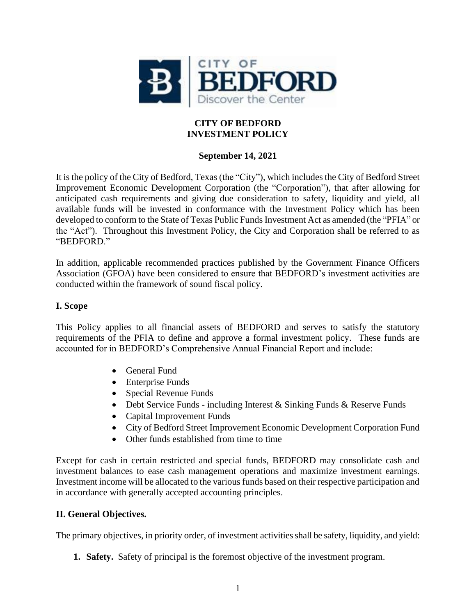

## **CITY OF BEDFORD INVESTMENT POLICY**

# **September 14, 2021**

It is the policy of the City of Bedford, Texas (the "City"), which includes the City of Bedford Street Improvement Economic Development Corporation (the "Corporation"), that after allowing for anticipated cash requirements and giving due consideration to safety, liquidity and yield, all available funds will be invested in conformance with the Investment Policy which has been developed to conform to the State of Texas Public Funds Investment Act as amended (the "PFIA" or the "Act"). Throughout this Investment Policy, the City and Corporation shall be referred to as "BEDFORD."

In addition, applicable recommended practices published by the Government Finance Officers Association (GFOA) have been considered to ensure that BEDFORD's investment activities are conducted within the framework of sound fiscal policy.

## **I. Scope**

This Policy applies to all financial assets of BEDFORD and serves to satisfy the statutory requirements of the PFIA to define and approve a formal investment policy. These funds are accounted for in BEDFORD's Comprehensive Annual Financial Report and include:

- General Fund
- Enterprise Funds
- Special Revenue Funds
- Debt Service Funds including Interest & Sinking Funds & Reserve Funds
- Capital Improvement Funds
- City of Bedford Street Improvement Economic Development Corporation Fund
- Other funds established from time to time

Except for cash in certain restricted and special funds, BEDFORD may consolidate cash and investment balances to ease cash management operations and maximize investment earnings. Investment income will be allocated to the various funds based on their respective participation and in accordance with generally accepted accounting principles.

## **II. General Objectives.**

The primary objectives, in priority order, of investment activities shall be safety, liquidity, and yield:

**1. Safety.** Safety of principal is the foremost objective of the investment program.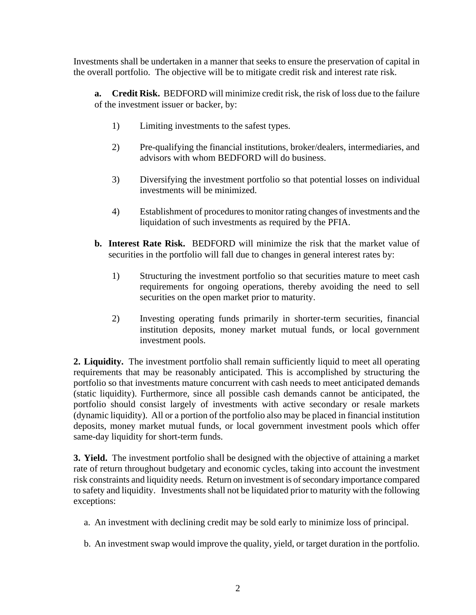Investments shall be undertaken in a manner that seeks to ensure the preservation of capital in the overall portfolio. The objective will be to mitigate credit risk and interest rate risk.

**a. Credit Risk.** BEDFORD will minimize credit risk, the risk of loss due to the failure of the investment issuer or backer, by:

- 1) Limiting investments to the safest types.
- 2) Pre-qualifying the financial institutions, broker/dealers, intermediaries, and advisors with whom BEDFORD will do business.
- 3) Diversifying the investment portfolio so that potential losses on individual investments will be minimized.
- 4) Establishment of procedures to monitor rating changes of investments and the liquidation of such investments as required by the PFIA.
- **b. Interest Rate Risk.** BEDFORD will minimize the risk that the market value of securities in the portfolio will fall due to changes in general interest rates by:
	- 1) Structuring the investment portfolio so that securities mature to meet cash requirements for ongoing operations, thereby avoiding the need to sell securities on the open market prior to maturity.
	- 2) Investing operating funds primarily in shorter-term securities, financial institution deposits, money market mutual funds, or local government investment pools.

**2. Liquidity.** The investment portfolio shall remain sufficiently liquid to meet all operating requirements that may be reasonably anticipated. This is accomplished by structuring the portfolio so that investments mature concurrent with cash needs to meet anticipated demands (static liquidity). Furthermore, since all possible cash demands cannot be anticipated, the portfolio should consist largely of investments with active secondary or resale markets (dynamic liquidity). All or a portion of the portfolio also may be placed in financial institution deposits, money market mutual funds, or local government investment pools which offer same-day liquidity for short-term funds.

**3. Yield.** The investment portfolio shall be designed with the objective of attaining a market rate of return throughout budgetary and economic cycles, taking into account the investment risk constraints and liquidity needs. Return on investment is of secondary importance compared to safety and liquidity. Investments shall not be liquidated prior to maturity with the following exceptions:

- a. An investment with declining credit may be sold early to minimize loss of principal.
- b. An investment swap would improve the quality, yield, or target duration in the portfolio.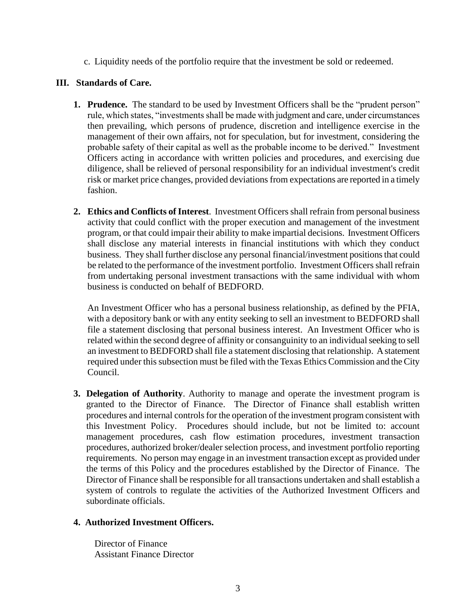c. Liquidity needs of the portfolio require that the investment be sold or redeemed.

## **III. Standards of Care.**

- **1. Prudence.** The standard to be used by Investment Officers shall be the "prudent person" rule, which states, "investments shall be made with judgment and care, under circumstances then prevailing, which persons of prudence, discretion and intelligence exercise in the management of their own affairs, not for speculation, but for investment, considering the probable safety of their capital as well as the probable income to be derived." Investment Officers acting in accordance with written policies and procedures, and exercising due diligence, shall be relieved of personal responsibility for an individual investment's credit risk or market price changes, provided deviations from expectations are reported in a timely fashion.
- **2. Ethics and Conflicts of Interest**. Investment Officers shall refrain from personal business activity that could conflict with the proper execution and management of the investment program, or that could impair their ability to make impartial decisions. Investment Officers shall disclose any material interests in financial institutions with which they conduct business. They shall further disclose any personal financial/investment positions that could be related to the performance of the investment portfolio. Investment Officers shall refrain from undertaking personal investment transactions with the same individual with whom business is conducted on behalf of BEDFORD.

An Investment Officer who has a personal business relationship, as defined by the PFIA, with a depository bank or with any entity seeking to sell an investment to BEDFORD shall file a statement disclosing that personal business interest. An Investment Officer who is related within the second degree of affinity or consanguinity to an individual seeking to sell an investment to BEDFORD shall file a statement disclosing that relationship. A statement required under this subsection must be filed with the Texas Ethics Commission and the City Council.

**3. Delegation of Authority**. Authority to manage and operate the investment program is granted to the Director of Finance. The Director of Finance shall establish written procedures and internal controls for the operation of the investment program consistent with this Investment Policy. Procedures should include, but not be limited to: account management procedures, cash flow estimation procedures, investment transaction procedures, authorized broker/dealer selection process, and investment portfolio reporting requirements. No person may engage in an investment transaction except as provided under the terms of this Policy and the procedures established by the Director of Finance. The Director of Finance shall be responsible for all transactions undertaken and shall establish a system of controls to regulate the activities of the Authorized Investment Officers and subordinate officials.

#### **4. Authorized Investment Officers.**

Director of Finance Assistant Finance Director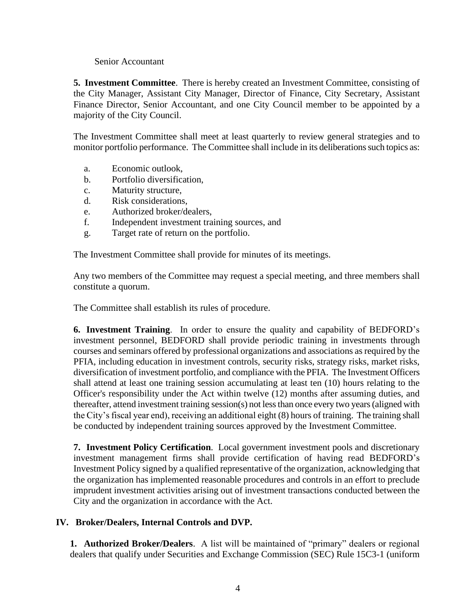#### Senior Accountant

**5. Investment Committee**. There is hereby created an Investment Committee, consisting of the City Manager, Assistant City Manager, Director of Finance, City Secretary, Assistant Finance Director, Senior Accountant, and one City Council member to be appointed by a majority of the City Council.

The Investment Committee shall meet at least quarterly to review general strategies and to monitor portfolio performance. The Committee shall include in its deliberations such topics as:

- a. Economic outlook,
- b. Portfolio diversification,
- c. Maturity structure,
- d. Risk considerations,
- e. Authorized broker/dealers,
- f. Independent investment training sources, and
- g. Target rate of return on the portfolio.

The Investment Committee shall provide for minutes of its meetings.

Any two members of the Committee may request a special meeting, and three members shall constitute a quorum.

The Committee shall establish its rules of procedure.

**6. Investment Training**. In order to ensure the quality and capability of BEDFORD's investment personnel, BEDFORD shall provide periodic training in investments through courses and seminars offered by professional organizations and associations as required by the PFIA, including education in investment controls, security risks, strategy risks, market risks, diversification of investment portfolio, and compliance with the PFIA. The Investment Officers shall attend at least one training session accumulating at least ten (10) hours relating to the Officer's responsibility under the Act within twelve (12) months after assuming duties, and thereafter, attend investment training session(s) not less than once every two years (aligned with the City's fiscal year end), receiving an additional eight (8) hours of training. The training shall be conducted by independent training sources approved by the Investment Committee.

**7. Investment Policy Certification**. Local government investment pools and discretionary investment management firms shall provide certification of having read BEDFORD's Investment Policy signed by a qualified representative of the organization, acknowledging that the organization has implemented reasonable procedures and controls in an effort to preclude imprudent investment activities arising out of investment transactions conducted between the City and the organization in accordance with the Act.

## **IV. Broker/Dealers, Internal Controls and DVP.**

**1. Authorized Broker/Dealers**. A list will be maintained of "primary" dealers or regional dealers that qualify under Securities and Exchange Commission (SEC) Rule 15C3-1 (uniform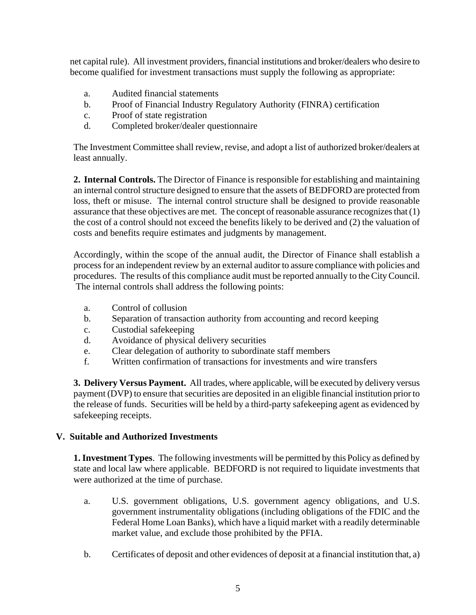net capital rule). All investment providers, financial institutions and broker/dealers who desire to become qualified for investment transactions must supply the following as appropriate:

- a. Audited financial statements
- b. Proof of Financial Industry Regulatory Authority (FINRA) certification
- c. Proof of state registration
- d. Completed broker/dealer questionnaire

The Investment Committee shall review, revise, and adopt a list of authorized broker/dealers at least annually.

**2. Internal Controls.** The Director of Finance is responsible for establishing and maintaining an internal control structure designed to ensure that the assets of BEDFORD are protected from loss, theft or misuse. The internal control structure shall be designed to provide reasonable assurance that these objectives are met. The concept of reasonable assurance recognizes that (1) the cost of a control should not exceed the benefits likely to be derived and (2) the valuation of costs and benefits require estimates and judgments by management.

Accordingly, within the scope of the annual audit, the Director of Finance shall establish a process for an independent review by an external auditor to assure compliance with policies and procedures. The results of this compliance audit must be reported annually to the City Council. The internal controls shall address the following points:

- a. Control of collusion
- b. Separation of transaction authority from accounting and record keeping
- c. Custodial safekeeping
- d. Avoidance of physical delivery securities
- e. Clear delegation of authority to subordinate staff members
- f. Written confirmation of transactions for investments and wire transfers

**3. Delivery Versus Payment.** All trades, where applicable, will be executed by delivery versus payment (DVP) to ensure that securities are deposited in an eligible financial institution prior to the release of funds. Securities will be held by a third-party safekeeping agent as evidenced by safekeeping receipts.

#### **V. Suitable and Authorized Investments**

**1. Investment Types**. The following investments will be permitted by this Policy as defined by state and local law where applicable. BEDFORD is not required to liquidate investments that were authorized at the time of purchase.

- a. U.S. government obligations, U.S. government agency obligations, and U.S. government instrumentality obligations (including obligations of the FDIC and the Federal Home Loan Banks), which have a liquid market with a readily determinable market value, and exclude those prohibited by the PFIA.
- b. Certificates of deposit and other evidences of deposit at a financial institution that, a)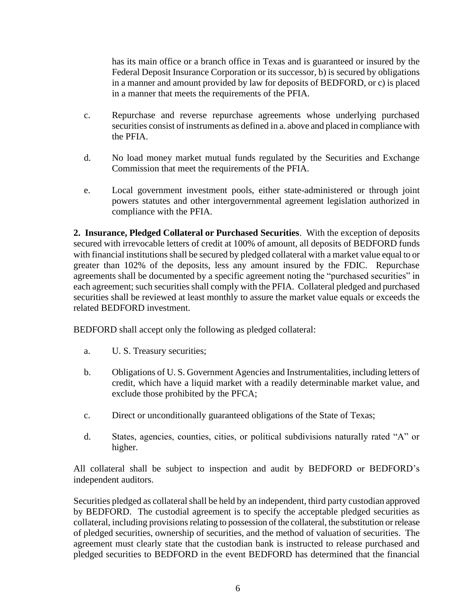has its main office or a branch office in Texas and is guaranteed or insured by the Federal Deposit Insurance Corporation or its successor, b) is secured by obligations in a manner and amount provided by law for deposits of BEDFORD, or c) is placed in a manner that meets the requirements of the PFIA.

- c. Repurchase and reverse repurchase agreements whose underlying purchased securities consist of instruments as defined in a. above and placed in compliance with the PFIA.
- d. No load money market mutual funds regulated by the Securities and Exchange Commission that meet the requirements of the PFIA.
- e. Local government investment pools, either state-administered or through joint powers statutes and other intergovernmental agreement legislation authorized in compliance with the PFIA.

**2. Insurance, Pledged Collateral or Purchased Securities**. With the exception of deposits secured with irrevocable letters of credit at 100% of amount, all deposits of BEDFORD funds with financial institutions shall be secured by pledged collateral with a market value equal to or greater than 102% of the deposits, less any amount insured by the FDIC. Repurchase agreements shall be documented by a specific agreement noting the "purchased securities" in each agreement; such securities shall comply with the PFIA. Collateral pledged and purchased securities shall be reviewed at least monthly to assure the market value equals or exceeds the related BEDFORD investment.

BEDFORD shall accept only the following as pledged collateral:

- a. U. S. Treasury securities;
- b. Obligations of U. S. Government Agencies and Instrumentalities, including letters of credit, which have a liquid market with a readily determinable market value, and exclude those prohibited by the PFCA;
- c. Direct or unconditionally guaranteed obligations of the State of Texas;
- d. States, agencies, counties, cities, or political subdivisions naturally rated "A" or higher.

All collateral shall be subject to inspection and audit by BEDFORD or BEDFORD's independent auditors.

Securities pledged as collateral shall be held by an independent, third party custodian approved by BEDFORD. The custodial agreement is to specify the acceptable pledged securities as collateral, including provisions relating to possession of the collateral, the substitution or release of pledged securities, ownership of securities, and the method of valuation of securities. The agreement must clearly state that the custodian bank is instructed to release purchased and pledged securities to BEDFORD in the event BEDFORD has determined that the financial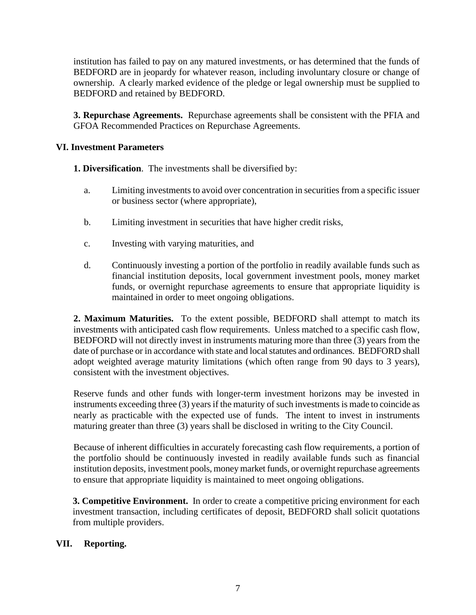institution has failed to pay on any matured investments, or has determined that the funds of BEDFORD are in jeopardy for whatever reason, including involuntary closure or change of ownership. A clearly marked evidence of the pledge or legal ownership must be supplied to BEDFORD and retained by BEDFORD.

**3. Repurchase Agreements.** Repurchase agreements shall be consistent with the PFIA and GFOA Recommended Practices on Repurchase Agreements.

### **VI. Investment Parameters**

**1. Diversification**. The investments shall be diversified by:

- a. Limiting investments to avoid over concentration in securities from a specific issuer or business sector (where appropriate),
- b. Limiting investment in securities that have higher credit risks,
- c. Investing with varying maturities, and
- d. Continuously investing a portion of the portfolio in readily available funds such as financial institution deposits, local government investment pools, money market funds, or overnight repurchase agreements to ensure that appropriate liquidity is maintained in order to meet ongoing obligations.

**2. Maximum Maturities.** To the extent possible, BEDFORD shall attempt to match its investments with anticipated cash flow requirements. Unless matched to a specific cash flow, BEDFORD will not directly invest in instruments maturing more than three (3) years from the date of purchase or in accordance with state and local statutes and ordinances. BEDFORD shall adopt weighted average maturity limitations (which often range from 90 days to 3 years), consistent with the investment objectives.

Reserve funds and other funds with longer-term investment horizons may be invested in instruments exceeding three (3) years if the maturity of such investments is made to coincide as nearly as practicable with the expected use of funds. The intent to invest in instruments maturing greater than three (3) years shall be disclosed in writing to the City Council.

Because of inherent difficulties in accurately forecasting cash flow requirements, a portion of the portfolio should be continuously invested in readily available funds such as financial institution deposits, investment pools, money market funds, or overnight repurchase agreements to ensure that appropriate liquidity is maintained to meet ongoing obligations.

**3. Competitive Environment.** In order to create a competitive pricing environment for each investment transaction, including certificates of deposit, BEDFORD shall solicit quotations from multiple providers.

#### **VII. Reporting.**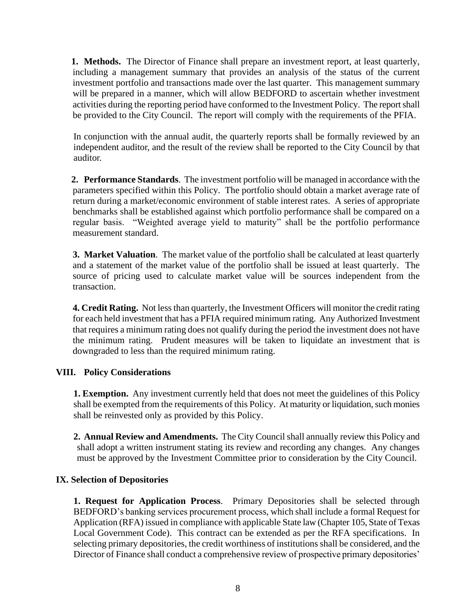**1. Methods.** The Director of Finance shall prepare an investment report, at least quarterly, including a management summary that provides an analysis of the status of the current investment portfolio and transactions made over the last quarter. This management summary will be prepared in a manner, which will allow BEDFORD to ascertain whether investment activities during the reporting period have conformed to the Investment Policy. The report shall be provided to the City Council. The report will comply with the requirements of the PFIA.

In conjunction with the annual audit, the quarterly reports shall be formally reviewed by an independent auditor, and the result of the review shall be reported to the City Council by that auditor.

**2. Performance Standards**. The investment portfolio will be managed in accordance with the parameters specified within this Policy. The portfolio should obtain a market average rate of return during a market/economic environment of stable interest rates. A series of appropriate benchmarks shall be established against which portfolio performance shall be compared on a regular basis. "Weighted average yield to maturity" shall be the portfolio performance measurement standard.

**3. Market Valuation**. The market value of the portfolio shall be calculated at least quarterly and a statement of the market value of the portfolio shall be issued at least quarterly. The source of pricing used to calculate market value will be sources independent from the transaction.

**4. Credit Rating.** Not less than quarterly, the Investment Officers will monitor the credit rating for each held investment that has a PFIA required minimum rating. Any Authorized Investment that requires a minimum rating does not qualify during the period the investment does not have the minimum rating. Prudent measures will be taken to liquidate an investment that is downgraded to less than the required minimum rating.

#### **VIII. Policy Considerations**

**1. Exemption.** Any investment currently held that does not meet the guidelines of this Policy shall be exempted from the requirements of this Policy. At maturity or liquidation, such monies shall be reinvested only as provided by this Policy.

**2. Annual Review and Amendments.** The City Council shall annually review this Policy and shall adopt a written instrument stating its review and recording any changes. Any changes must be approved by the Investment Committee prior to consideration by the City Council.

#### **IX. Selection of Depositories**

**1. Request for Application Process**. Primary Depositories shall be selected through BEDFORD's banking services procurement process, which shall include a formal Request for Application (RFA) issued in compliance with applicable State law (Chapter 105, State of Texas Local Government Code). This contract can be extended as per the RFA specifications. In selecting primary depositories, the credit worthiness of institutions shall be considered, and the Director of Finance shall conduct a comprehensive review of prospective primary depositories'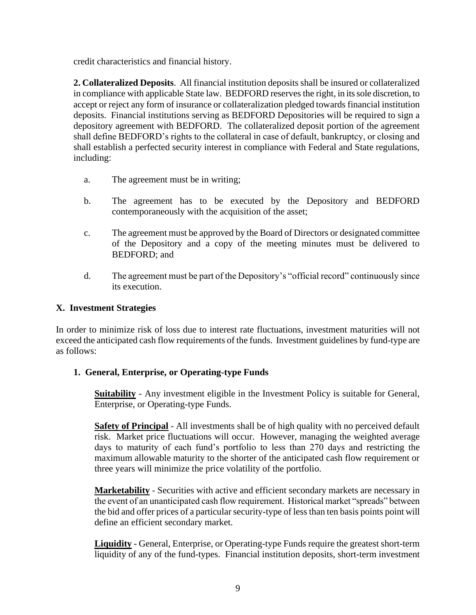credit characteristics and financial history.

**2. Collateralized Deposits**. All financial institution deposits shall be insured or collateralized in compliance with applicable State law. BEDFORD reserves the right, in its sole discretion, to accept or reject any form of insurance or collateralization pledged towards financial institution deposits. Financial institutions serving as BEDFORD Depositories will be required to sign a depository agreement with BEDFORD. The collateralized deposit portion of the agreement shall define BEDFORD's rights to the collateral in case of default, bankruptcy, or closing and shall establish a perfected security interest in compliance with Federal and State regulations, including:

- a. The agreement must be in writing;
- b. The agreement has to be executed by the Depository and BEDFORD contemporaneously with the acquisition of the asset;
- c. The agreement must be approved by the Board of Directors or designated committee of the Depository and a copy of the meeting minutes must be delivered to BEDFORD; and
- d. The agreement must be part of the Depository's "official record" continuously since its execution.

## **X. Investment Strategies**

In order to minimize risk of loss due to interest rate fluctuations, investment maturities will not exceed the anticipated cash flow requirements of the funds. Investment guidelines by fund-type are as follows:

## **1. General, Enterprise, or Operating-type Funds**

**Suitability** - Any investment eligible in the Investment Policy is suitable for General, Enterprise, or Operating-type Funds.

**Safety of Principal** - All investments shall be of high quality with no perceived default risk. Market price fluctuations will occur. However, managing the weighted average days to maturity of each fund's portfolio to less than 270 days and restricting the maximum allowable maturity to the shorter of the anticipated cash flow requirement or three years will minimize the price volatility of the portfolio.

**Marketability** - Securities with active and efficient secondary markets are necessary in the event of an unanticipated cash flow requirement. Historical market "spreads" between the bid and offer prices of a particular security-type of less than ten basis points point will define an efficient secondary market.

**Liquidity** - General, Enterprise, or Operating-type Funds require the greatest short-term liquidity of any of the fund-types. Financial institution deposits, short-term investment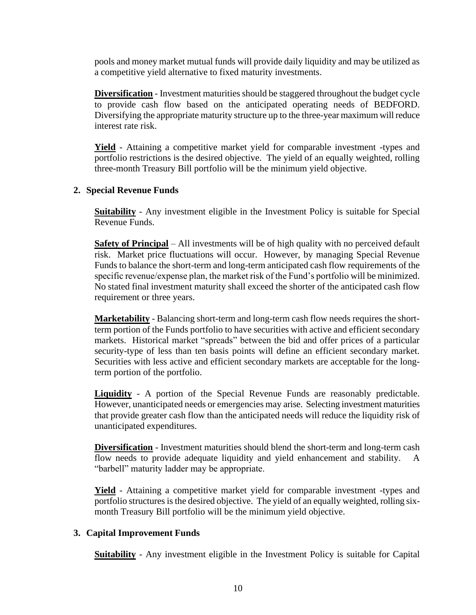pools and money market mutual funds will provide daily liquidity and may be utilized as a competitive yield alternative to fixed maturity investments.

**Diversification** - Investment maturities should be staggered throughout the budget cycle to provide cash flow based on the anticipated operating needs of BEDFORD. Diversifying the appropriate maturity structure up to the three-year maximum will reduce interest rate risk.

**Yield** - Attaining a competitive market yield for comparable investment -types and portfolio restrictions is the desired objective. The yield of an equally weighted, rolling three-month Treasury Bill portfolio will be the minimum yield objective.

### **2. Special Revenue Funds**

**Suitability** - Any investment eligible in the Investment Policy is suitable for Special Revenue Funds.

**Safety of Principal** – All investments will be of high quality with no perceived default risk. Market price fluctuations will occur. However, by managing Special Revenue Funds to balance the short-term and long-term anticipated cash flow requirements of the specific revenue/expense plan, the market risk of the Fund's portfolio will be minimized. No stated final investment maturity shall exceed the shorter of the anticipated cash flow requirement or three years.

**Marketability** - Balancing short-term and long-term cash flow needs requires the shortterm portion of the Funds portfolio to have securities with active and efficient secondary markets. Historical market "spreads" between the bid and offer prices of a particular security-type of less than ten basis points will define an efficient secondary market. Securities with less active and efficient secondary markets are acceptable for the longterm portion of the portfolio.

**Liquidity** - A portion of the Special Revenue Funds are reasonably predictable. However, unanticipated needs or emergencies may arise. Selecting investment maturities that provide greater cash flow than the anticipated needs will reduce the liquidity risk of unanticipated expenditures.

**Diversification** - Investment maturities should blend the short-term and long-term cash flow needs to provide adequate liquidity and yield enhancement and stability. A "barbell" maturity ladder may be appropriate.

**Yield** - Attaining a competitive market yield for comparable investment -types and portfolio structures is the desired objective. The yield of an equally weighted, rolling sixmonth Treasury Bill portfolio will be the minimum yield objective.

#### **3. Capital Improvement Funds**

**Suitability** - Any investment eligible in the Investment Policy is suitable for Capital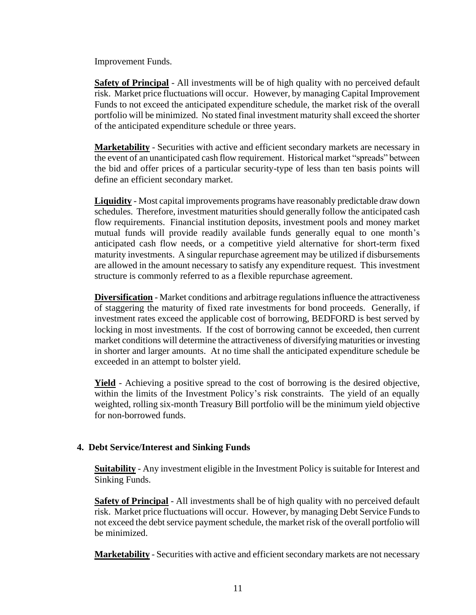Improvement Funds.

**Safety of Principal** - All investments will be of high quality with no perceived default risk. Market price fluctuations will occur. However, by managing Capital Improvement Funds to not exceed the anticipated expenditure schedule, the market risk of the overall portfolio will be minimized. No stated final investment maturity shall exceed the shorter of the anticipated expenditure schedule or three years.

**Marketability** - Securities with active and efficient secondary markets are necessary in the event of an unanticipated cash flow requirement. Historical market "spreads" between the bid and offer prices of a particular security-type of less than ten basis points will define an efficient secondary market.

**Liquidity** - Most capital improvements programs have reasonably predictable draw down schedules. Therefore, investment maturities should generally follow the anticipated cash flow requirements. Financial institution deposits, investment pools and money market mutual funds will provide readily available funds generally equal to one month's anticipated cash flow needs, or a competitive yield alternative for short-term fixed maturity investments. A singular repurchase agreement may be utilized if disbursements are allowed in the amount necessary to satisfy any expenditure request. This investment structure is commonly referred to as a flexible repurchase agreement.

**Diversification** - Market conditions and arbitrage regulations influence the attractiveness of staggering the maturity of fixed rate investments for bond proceeds. Generally, if investment rates exceed the applicable cost of borrowing, BEDFORD is best served by locking in most investments. If the cost of borrowing cannot be exceeded, then current market conditions will determine the attractiveness of diversifying maturities or investing in shorter and larger amounts. At no time shall the anticipated expenditure schedule be exceeded in an attempt to bolster yield.

**Yield** - Achieving a positive spread to the cost of borrowing is the desired objective, within the limits of the Investment Policy's risk constraints. The yield of an equally weighted, rolling six-month Treasury Bill portfolio will be the minimum yield objective for non-borrowed funds.

## **4. Debt Service/Interest and Sinking Funds**

**Suitability** - Any investment eligible in the Investment Policy is suitable for Interest and Sinking Funds.

**Safety of Principal** - All investments shall be of high quality with no perceived default risk. Market price fluctuations will occur. However, by managing Debt Service Funds to not exceed the debt service payment schedule, the market risk of the overall portfolio will be minimized.

**Marketability** - Securities with active and efficient secondary markets are not necessary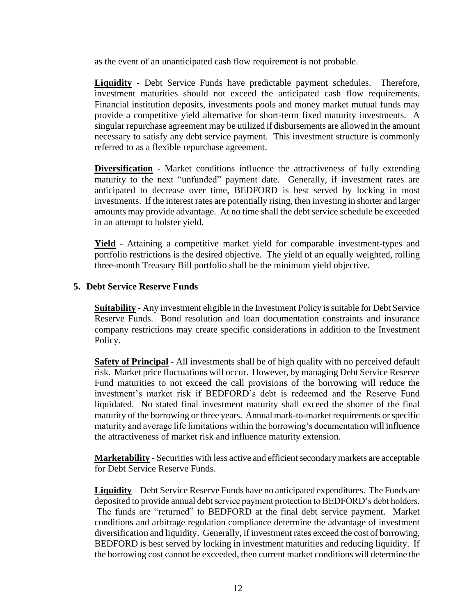as the event of an unanticipated cash flow requirement is not probable.

**Liquidity** - Debt Service Funds have predictable payment schedules. Therefore, investment maturities should not exceed the anticipated cash flow requirements. Financial institution deposits, investments pools and money market mutual funds may provide a competitive yield alternative for short-term fixed maturity investments. A singular repurchase agreement may be utilized if disbursements are allowed in the amount necessary to satisfy any debt service payment. This investment structure is commonly referred to as a flexible repurchase agreement.

**Diversification** - Market conditions influence the attractiveness of fully extending maturity to the next "unfunded" payment date. Generally, if investment rates are anticipated to decrease over time, BEDFORD is best served by locking in most investments. If the interest rates are potentially rising, then investing in shorter and larger amounts may provide advantage. At no time shall the debt service schedule be exceeded in an attempt to bolster yield.

**Yield** - Attaining a competitive market yield for comparable investment-types and portfolio restrictions is the desired objective. The yield of an equally weighted, rolling three-month Treasury Bill portfolio shall be the minimum yield objective.

### **5. Debt Service Reserve Funds**

**Suitability** - Any investment eligible in the Investment Policy is suitable for Debt Service Reserve Funds. Bond resolution and loan documentation constraints and insurance company restrictions may create specific considerations in addition to the Investment Policy.

**Safety of Principal** - All investments shall be of high quality with no perceived default risk. Market price fluctuations will occur. However, by managing Debt Service Reserve Fund maturities to not exceed the call provisions of the borrowing will reduce the investment's market risk if BEDFORD's debt is redeemed and the Reserve Fund liquidated. No stated final investment maturity shall exceed the shorter of the final maturity of the borrowing or three years. Annual mark-to-market requirements or specific maturity and average life limitations within the borrowing's documentation will influence the attractiveness of market risk and influence maturity extension.

**Marketability** - Securities with less active and efficient secondary markets are acceptable for Debt Service Reserve Funds.

**Liquidity** – Debt Service Reserve Funds have no anticipated expenditures. The Funds are deposited to provide annual debt service payment protection to BEDFORD's debt holders. The funds are "returned" to BEDFORD at the final debt service payment. Market conditions and arbitrage regulation compliance determine the advantage of investment diversification and liquidity. Generally, if investment rates exceed the cost of borrowing, BEDFORD is best served by locking in investment maturities and reducing liquidity. If the borrowing cost cannot be exceeded, then current market conditions will determine the